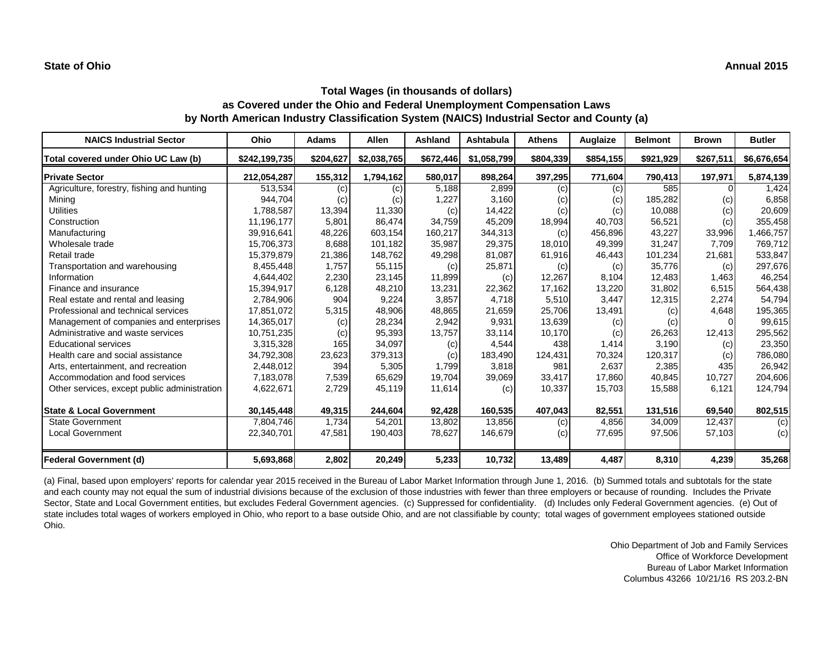#### **State of Ohio Annual 2015**

#### **Total Wages (in thousands of dollars) as Covered under the Ohio and Federal Unemployment Compensation Laws by North American Industry Classification System (NAICS) Industrial Sector and County (a)**

| <b>NAICS Industrial Sector</b>               | Ohio          | <b>Adams</b> | <b>Allen</b> | Ashland   | Ashtabula   | Athens    | Auglaize  | <b>Belmont</b> | <b>Brown</b>               | <b>Butler</b> |
|----------------------------------------------|---------------|--------------|--------------|-----------|-------------|-----------|-----------|----------------|----------------------------|---------------|
| Total covered under Ohio UC Law (b)          | \$242,199,735 | \$204,627    | \$2,038,765  | \$672,446 | \$1,058,799 | \$804,339 | \$854,155 | \$921,929      | \$267,511                  | \$6,676,654   |
| <b>Private Sector</b>                        | 212,054,287   | 155,312      | 1,794,162    | 580,017   | 898,264     | 397,295   | 771,604   | 790,413        | 197,971                    | 5,874,139     |
| Agriculture, forestry, fishing and hunting   | 513,534       | (c)          | (c)          | 5,188     | 2,899       | (c)       | (c)       | 585            |                            | 1,424         |
| Mining                                       | 944,704       | (c)          | (c)          | 1,227     | 3,160       | (c)       | (c)       | 185,282        | $\left( \mathrm{c}\right)$ | 6,858         |
| <b>Utilities</b>                             | 1,788,587     | 13,394       | 11,330       | (c)       | 14,422      | (c)       | (c)       | 10,088         | (c)                        | 20,609        |
| Construction                                 | 11,196,177    | 5,801        | 86,474       | 34,759    | 45,209      | 18,994    | 40,703    | 56,521         | (c)                        | 355,458       |
| Manufacturing                                | 39,916,641    | 48,226       | 603,154      | 160,217   | 344,313     | (c)       | 456,896   | 43,227         | 33,996                     | 1,466,757     |
| Wholesale trade                              | 15,706,373    | 8,688        | 101,182      | 35,987    | 29,375      | 18,010    | 49,399    | 31,247         | 7,709                      | 769,712       |
| Retail trade                                 | 15,379,879    | 21,386       | 148,762      | 49,298    | 81,087      | 61,916    | 46,443    | 101,234        | 21,681                     | 533,847       |
| Transportation and warehousing               | 8,455,448     | 1.757        | 55,115       | (c)       | 25,871      | (c)       | (c)       | 35,776         | (c)                        | 297,676       |
| Information                                  | 4,644,402     | 2,230        | 23,145       | 11,899    | (c)         | 12,267    | 8,104     | 12,483         | 1,463                      | 46,254        |
| Finance and insurance                        | 15,394,917    | 6,128        | 48,210       | 13,231    | 22,362      | 17,162    | 13,220    | 31,802         | 6,515                      | 564,438       |
| Real estate and rental and leasing           | 2,784,906     | 904          | 9,224        | 3,857     | 4,718       | 5,510     | 3,447     | 12,315         | 2,274                      | 54,794        |
| Professional and technical services          | 17,851,072    | 5,315        | 48,906       | 48,865    | 21,659      | 25,706    | 13,491    | (c)            | 4,648                      | 195,365       |
| Management of companies and enterprises      | 14,365,017    | (c)          | 28,234       | 2,942     | 9,931       | 13,639    | (c)       | (c)            |                            | 99,615        |
| Administrative and waste services            | 10,751,235    | (c)          | 95,393       | 13,757    | 33,114      | 10,170    | (c)       | 26,263         | 12,413                     | 295,562       |
| <b>Educational services</b>                  | 3,315,328     | 165          | 34,097       | (c)       | 4,544       | 438       | 1,414     | 3,190          | (c)                        | 23,350        |
| Health care and social assistance            | 34,792,308    | 23,623       | 379,313      | (c)       | 183,490     | 124,431   | 70,324    | 120,317        | (c)                        | 786,080       |
| Arts, entertainment, and recreation          | 2,448,012     | 394          | 5,305        | 1,799     | 3,818       | 981       | 2,637     | 2,385          | 435                        | 26,942        |
| Accommodation and food services              | 7,183,078     | 7,539        | 65,629       | 19,704    | 39,069      | 33,417    | 17,860    | 40,845         | 10,727                     | 204,606       |
| Other services, except public administration | 4,622,671     | 2,729        | 45,119       | 11,614    | (c)         | 10,337    | 15,703    | 15,588         | 6,121                      | 124,794       |
| <b>State &amp; Local Government</b>          | 30,145,448    | 49,315       | 244,604      | 92,428    | 160,535     | 407,043   | 82,551    | 131,516        | 69,540                     | 802,515       |
| <b>State Government</b>                      | 7,804,746     | 1,734        | 54,201       | 13,802    | 13,856      | (c)       | 4,856     | 34,009         | 12,437                     | (c)           |
| <b>Local Government</b>                      | 22,340,701    | 47,581       | 190,403      | 78,627    | 146,679     | (c)       | 77,695    | 97,506         | 57,103                     | (c)           |
| <b>Federal Government (d)</b>                | 5,693,868     | 2,802        | 20,249       | 5,233     | 10,732      | 13,489    | 4,487     | 8,310          | 4,239                      | 35,268        |

(a) Final, based upon employers' reports for calendar year 2015 received in the Bureau of Labor Market Information through June 1, 2016. (b) Summed totals and subtotals for the state and each county may not equal the sum of industrial divisions because of the exclusion of those industries with fewer than three employers or because of rounding. Includes the Private Sector, State and Local Government entities, but excludes Federal Government agencies. (c) Suppressed for confidentiality. (d) Includes only Federal Government agencies. (e) Out of state includes total wages of workers employed in Ohio, who report to a base outside Ohio, and are not classifiable by county; total wages of government employees stationed outside Ohio.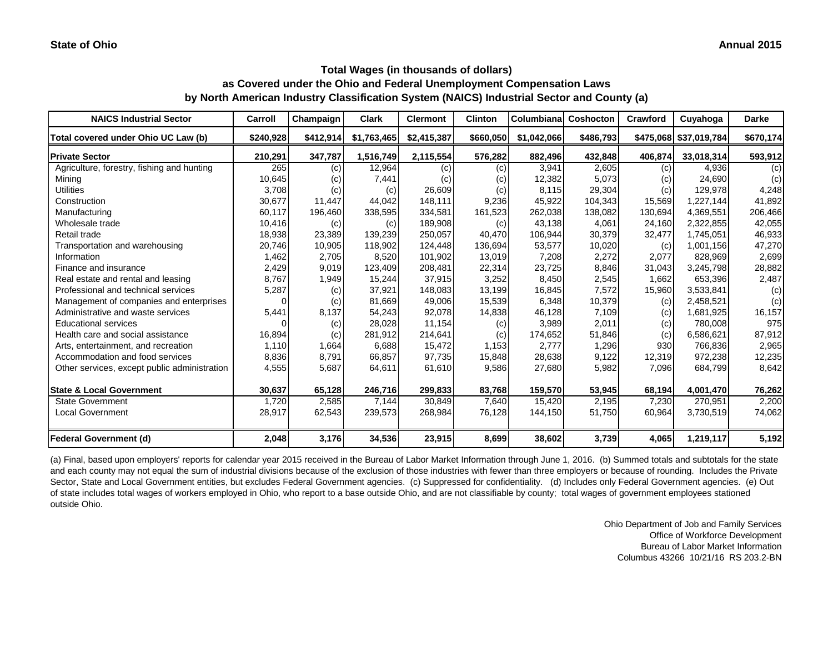| <b>NAICS Industrial Sector</b>               | Carroll   | Champaign | <b>Clark</b> | <b>Clermont</b> | <b>Clinton</b> | Columbiana  | Coshocton | Crawford | Cuyahoga               | Darke     |
|----------------------------------------------|-----------|-----------|--------------|-----------------|----------------|-------------|-----------|----------|------------------------|-----------|
| Total covered under Ohio UC Law (b)          | \$240,928 | \$412,914 | \$1,763,465  | \$2,415,387     | \$660,050      | \$1,042,066 | \$486,793 |          | \$475,068 \$37,019,784 | \$670,174 |
| <b>Private Sector</b>                        | 210,291   | 347,787   | 1,516,749    | 2,115,554       | 576,282        | 882,496     | 432,848   | 406,874  | 33,018,314             | 593,912   |
| Agriculture, forestry, fishing and hunting   | 265       | (c)       | 12,964       | (c)             | (c)            | 3,941       | 2,605     | (c)      | 4,936                  | (c)       |
| Minina                                       | 10,645    | (c)       | 7,441        | (c)             | (c)            | 12,382      | 5,073     | (c)      | 24,690                 | (c)       |
| <b>Utilities</b>                             | 3,708     | (c)       | (c)          | 26,609          | (c)            | 8,115       | 29,304    | (c)      | 129,978                | 4,248     |
| Construction                                 | 30,677    | 11,447    | 44,042       | 148,111         | 9,236          | 45,922      | 104,343   | 15,569   | 1,227,144              | 41,892    |
| Manufacturing                                | 60,117    | 196,460   | 338,595      | 334,581         | 161,523        | 262,038     | 138,082   | 130,694  | 4,369,551              | 206,466   |
| Wholesale trade                              | 10,416    | (c)       | (c)          | 189,908         | (c)            | 43,138      | 4,061     | 24,160   | 2,322,855              | 42,055    |
| Retail trade                                 | 18,938    | 23,389    | 139,239      | 250,057         | 40,470         | 106,944     | 30,379    | 32,477   | 1,745,051              | 46,933    |
| Transportation and warehousing               | 20,746    | 10,905    | 118,902      | 124.448         | 136,694        | 53,577      | 10,020    | (c)      | 1,001,156              | 47,270    |
| Information                                  | 1,462     | 2,705     | 8,520        | 101,902         | 13,019         | 7,208       | 2,272     | 2,077    | 828,969                | 2,699     |
| Finance and insurance                        | 2,429     | 9,019     | 123,409      | 208,481         | 22,314         | 23,725      | 8,846     | 31,043   | 3,245,798              | 28,882    |
| Real estate and rental and leasing           | 8,767     | 1,949     | 15,244       | 37,915          | 3,252          | 8,450       | 2,545     | 1,662    | 653,396                | 2,487     |
| Professional and technical services          | 5,287     | (c)       | 37,921       | 148,083         | 13,199         | 16,845      | 7,572     | 15,960   | 3,533,841              | (c)       |
| Management of companies and enterprises      |           | (c)       | 81,669       | 49,006          | 15,539         | 6,348       | 10,379    | (c)      | 2,458,521              | (c)       |
| Administrative and waste services            | 5,441     | 8,137     | 54,243       | 92,078          | 14,838         | 46,128      | 7,109     | (c)      | 1,681,925              | 16,157    |
| <b>Educational services</b>                  |           | (c)       | 28,028       | 11,154          | (c)            | 3,989       | 2,011     | (c)      | 780,008                | 975       |
| Health care and social assistance            | 16,894    | (c)       | 281,912      | 214,641         | (c)            | 174,652     | 51,846    | (c)      | 6,586,621              | 87,912    |
| Arts, entertainment, and recreation          | 1,110     | 1,664     | 6,688        | 15,472          | 1,153          | 2,777       | 1,296     | 930      | 766,836                | 2,965     |
| Accommodation and food services              | 8,836     | 8,791     | 66,857       | 97,735          | 15,848         | 28,638      | 9,122     | 12,319   | 972,238                | 12,235    |
| Other services, except public administration | 4,555     | 5,687     | 64,611       | 61,610          | 9,586          | 27,680      | 5,982     | 7,096    | 684,799                | 8,642     |
| <b>State &amp; Local Government</b>          | 30,637    | 65,128    | 246,716      | 299,833         | 83,768         | 159,570     | 53,945    | 68,194   | 4,001,470              | 76,262    |
| <b>State Government</b>                      | 1,720     | 2,585     | 7,144        | 30,849          | 7,640          | 15,420      | 2,195     | 7,230    | 270,951                | 2,200     |
| <b>Local Government</b>                      | 28,917    | 62,543    | 239,573      | 268,984         | 76,128         | 144,150     | 51,750    | 60,964   | 3,730,519              | 74,062    |
| <b>Federal Government (d)</b>                | 2,048     | 3,176     | 34,536       | 23,915          | 8,699          | 38,602      | 3,739     | 4,065    | 1,219,117              | 5,192     |

(a) Final, based upon employers' reports for calendar year 2015 received in the Bureau of Labor Market Information through June 1, 2016. (b) Summed totals and subtotals for the state and each county may not equal the sum of industrial divisions because of the exclusion of those industries with fewer than three employers or because of rounding. Includes the Private Sector, State and Local Government entities, but excludes Federal Government agencies. (c) Suppressed for confidentiality. (d) Includes only Federal Government agencies. (e) Out of state includes total wages of workers employed in Ohio, who report to a base outside Ohio, and are not classifiable by county; total wages of government employees stationed outside Ohio.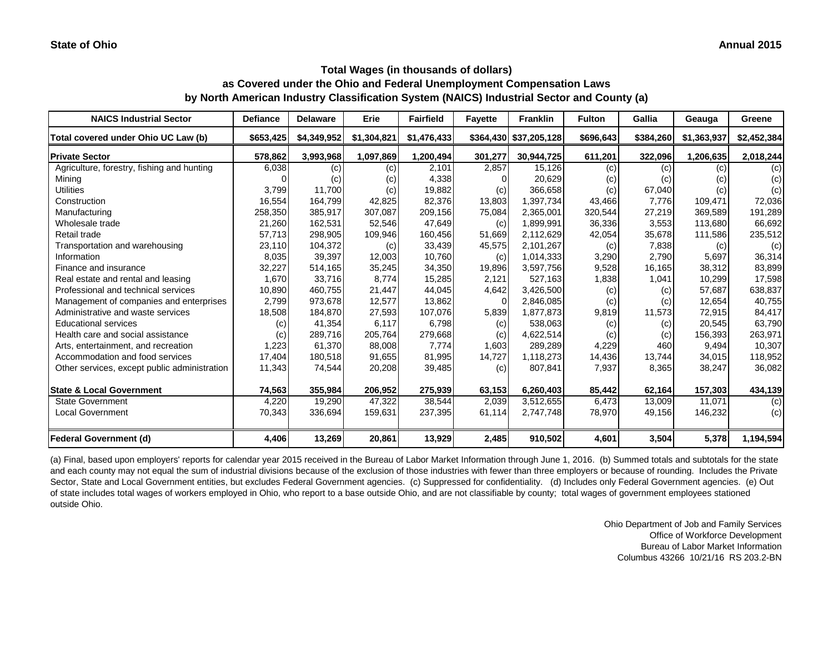| <b>NAICS Industrial Sector</b>               | <b>Defiance</b> | <b>Delaware</b> | Erie        | <b>Fairfield</b> | <b>Fayette</b> | <b>Franklin</b>        | <b>Fulton</b> | Gallia    | Geauga      | Greene      |
|----------------------------------------------|-----------------|-----------------|-------------|------------------|----------------|------------------------|---------------|-----------|-------------|-------------|
| Total covered under Ohio UC Law (b)          | \$653,425       | \$4,349,952     | \$1,304,821 | \$1,476,433      |                | \$364,430 \$37,205,128 | \$696,643     | \$384,260 | \$1,363,937 | \$2,452,384 |
| <b>Private Sector</b>                        | 578,862         | 3,993,968       | 1,097,869   | 1,200,494        | 301,277        | 30,944,725             | 611,201       | 322,096   | 1,206,635   | 2,018,244   |
| Agriculture, forestry, fishing and hunting   | 6,038           | (c)             | (c)         | 2,101            | 2,857          | 15,126                 | (c)           | (c)       | (c)         | (c)         |
| Mining                                       |                 | (c)             | (c)         | 4,338            |                | 20,629                 | (c)           | (c)       | (c)         | (c)         |
| <b>Utilities</b>                             | 3,799           | 11,700          | (c)         | 19,882           | (c)            | 366,658                | (c)           | 67,040    | (c)         | (c)         |
| Construction                                 | 16,554          | 164,799         | 42,825      | 82,376           | 13,803         | 1,397,734              | 43,466        | 7,776     | 109,471     | 72,036      |
| Manufacturing                                | 258,350         | 385,917         | 307,087     | 209,156          | 75,084         | 2,365,001              | 320,544       | 27,219    | 369,589     | 191,289     |
| Wholesale trade                              | 21,260          | 162,531         | 52,546      | 47,649           | (c)            | 1,899,991              | 36,336        | 3,553     | 113,680     | 66,692      |
| Retail trade                                 | 57,713          | 298,905         | 109,946     | 160,456          | 51,669         | 2,112,629              | 42,054        | 35,678    | 111,586     | 235,512     |
| Transportation and warehousing               | 23,110          | 104,372         | (c)         | 33,439           | 45,575         | 2,101,267              | (c)           | 7,838     | (c)         | (c)         |
| Information                                  | 8,035           | 39,397          | 12,003      | 10,760           | (c)            | 1,014,333              | 3,290         | 2,790     | 5.697       | 36,314      |
| Finance and insurance                        | 32,227          | 514,165         | 35,245      | 34,350           | 19,896         | 3,597,756              | 9,528         | 16,165    | 38,312      | 83,899      |
| Real estate and rental and leasing           | 1,670           | 33,716          | 8.774       | 15,285           | 2,121          | 527.163                | 1,838         | 1,041     | 10,299      | 17,598      |
| Professional and technical services          | 10,890          | 460,755         | 21,447      | 44,045           | 4,642          | 3,426,500              | (c)           | (c)       | 57,687      | 638,837     |
| Management of companies and enterprises      | 2,799           | 973,678         | 12,577      | 13,862           | $\Omega$       | 2,846,085              | (c)           | (c)       | 12,654      | 40,755      |
| Administrative and waste services            | 18,508          | 184,870         | 27,593      | 107,076          | 5,839          | 1,877,873              | 9,819         | 11,573    | 72,915      | 84,417      |
| <b>Educational services</b>                  | (c)             | 41,354          | 6,117       | 6,798            | (c)            | 538,063                | (c)           | (c)       | 20,545      | 63,790      |
| Health care and social assistance            | (c)             | 289,716         | 205,764     | 279,668          | (c)            | 4,622,514              | (c)           | (c)       | 156,393     | 263,971     |
| Arts, entertainment, and recreation          | 1,223           | 61,370          | 88,008      | 7,774            | 1,603          | 289,289                | 4,229         | 460       | 9,494       | 10,307      |
| Accommodation and food services              | 17,404          | 180,518         | 91,655      | 81,995           | 14,727         | 1,118,273              | 14,436        | 13,744    | 34,015      | 118,952     |
| Other services, except public administration | 11,343          | 74,544          | 20,208      | 39,485           | (c)            | 807,841                | 7,937         | 8,365     | 38,247      | 36,082      |
| <b>State &amp; Local Government</b>          | 74,563          | 355,984         | 206,952     | 275,939          | 63,153         | 6,260,403              | 85,442        | 62,164    | 157,303     | 434,139     |
| <b>State Government</b>                      | 4,220           | 19,290          | 47,322      | 38,544           | 2,039          | 3,512,655              | 6,473         | 13,009    | 11,071      | (c)         |
| <b>Local Government</b>                      | 70,343          | 336,694         | 159,631     | 237,395          | 61,114         | 2,747,748              | 78,970        | 49,156    | 146,232     | (c)         |
| <b>Federal Government (d)</b>                | 4,406           | 13,269          | 20,861      | 13,929           | 2,485          | 910,502                | 4,601         | 3,504     | 5,378       | 1,194,594   |

(a) Final, based upon employers' reports for calendar year 2015 received in the Bureau of Labor Market Information through June 1, 2016. (b) Summed totals and subtotals for the state and each county may not equal the sum of industrial divisions because of the exclusion of those industries with fewer than three employers or because of rounding. Includes the Private Sector, State and Local Government entities, but excludes Federal Government agencies. (c) Suppressed for confidentiality. (d) Includes only Federal Government agencies. (e) Out of state includes total wages of workers employed in Ohio, who report to a base outside Ohio, and are not classifiable by county; total wages of government employees stationed outside Ohio.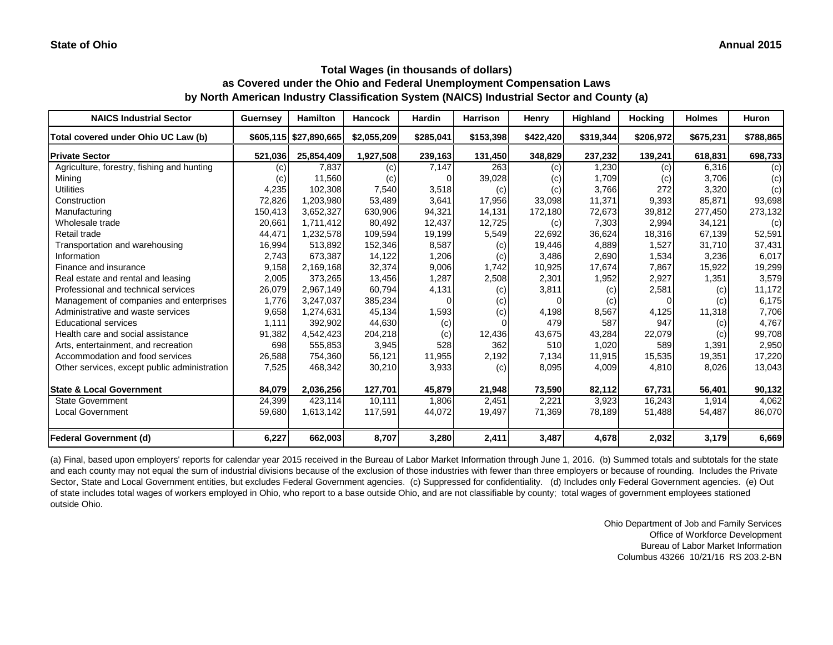| <b>NAICS Industrial Sector</b>               | <b>Guernsey</b> | <b>Hamilton</b>        | <b>Hancock</b> | <b>Hardin</b> | <b>Harrison</b> | Henry     | Highland  | <b>Hocking</b> | <b>Holmes</b> | Huron     |
|----------------------------------------------|-----------------|------------------------|----------------|---------------|-----------------|-----------|-----------|----------------|---------------|-----------|
| Total covered under Ohio UC Law (b)          |                 | \$605,115 \$27,890,665 | \$2,055,209    | \$285,041     | \$153,398       | \$422,420 | \$319,344 | \$206,972      | \$675,231     | \$788,865 |
| <b>Private Sector</b>                        | 521,036         | 25,854,409             | 1,927,508      | 239,163       | 131,450         | 348,829   | 237,232   | 139,241        | 618,831       | 698,733   |
| Agriculture, forestry, fishing and hunting   | (c)             | 7,837                  | (c)            | 7,147         | 263             | (c)       | 1,230     | (c)            | 6,316         | (c)       |
| Mining                                       | (c)             | 11,560                 | (c)            |               | 39,028          | (C)       | 1,709     | (c)            | 3,706         | (c)       |
| <b>Utilities</b>                             | 4,235           | 102,308                | 7,540          | 3,518         | (c)             | (c)       | 3,766     | 272            | 3,320         | (c)       |
| Construction                                 | 72,826          | 1,203,980              | 53,489         | 3,641         | 17,956          | 33,098    | 11,371    | 9,393          | 85,871        | 93,698    |
| Manufacturing                                | 150,413         | 3,652,327              | 630,906        | 94,321        | 14,131          | 172,180   | 72,673    | 39,812         | 277,450       | 273,132   |
| Wholesale trade                              | 20,661          | 1,711,412              | 80,492         | 12,437        | 12,725          | (c)       | 7,303     | 2,994          | 34,121        | (c)       |
| Retail trade                                 | 44,471          | 1,232,578              | 109,594        | 19,199        | 5,549           | 22,692    | 36,624    | 18,316         | 67,139        | 52,591    |
| Transportation and warehousing               | 16,994          | 513,892                | 152,346        | 8,587         | (c)             | 19,446    | 4,889     | 1,527          | 31,710        | 37,431    |
| Information                                  | 2,743           | 673,387                | 14,122         | 1,206         | (c)             | 3,486     | 2,690     | 1,534          | 3,236         | 6,017     |
| Finance and insurance                        | 9,158           | 2,169,168              | 32,374         | 9,006         | 1,742           | 10,925    | 17,674    | 7,867          | 15,922        | 19,299    |
| Real estate and rental and leasing           | 2,005           | 373,265                | 13,456         | 1,287         | 2,508           | 2,301     | 1,952     | 2,927          | 1,351         | 3,579     |
| Professional and technical services          | 26,079          | 2,967,149              | 60,794         | 4,131         | (c)             | 3,811     | (c)       | 2,581          | (c)           | 11,172    |
| Management of companies and enterprises      | 1,776           | 3,247,037              | 385,234        |               | (c)             |           | (c)       | 0              | (c)           | 6,175     |
| Administrative and waste services            | 9,658           | 1,274,631              | 45,134         | 1,593         | (c)             | 4,198     | 8,567     | 4,125          | 11,318        | 7,706     |
| <b>Educational services</b>                  | 1,111           | 392,902                | 44,630         | (c)           | $\Omega$        | 479       | 587       | 947            | (c)           | 4,767     |
| Health care and social assistance            | 91,382          | 4,542,423              | 204,218        | (c)           | 12,436          | 43,675    | 43,284    | 22,079         | (c)           | 99,708    |
| Arts, entertainment, and recreation          | 698             | 555,853                | 3,945          | 528           | 362             | 510       | 1,020     | 589            | 1,391         | 2,950     |
| Accommodation and food services              | 26,588          | 754,360                | 56,121         | 11,955        | 2,192           | 7,134     | 11,915    | 15,535         | 19,351        | 17,220    |
| Other services, except public administration | 7,525           | 468,342                | 30,210         | 3,933         | (c)             | 8,095     | 4,009     | 4,810          | 8,026         | 13,043    |
| <b>State &amp; Local Government</b>          | 84,079          | 2,036,256              | 127,701        | 45,879        | 21,948          | 73,590    | 82,112    | 67,731         | 56,401        | 90,132    |
| <b>State Government</b>                      | 24,399          | 423,114                | 10,111         | 1,806         | 2,451           | 2,221     | 3,923     | 16,243         | 1,914         | 4,062     |
| Local Government                             | 59,680          | 1,613,142              | 117,591        | 44,072        | 19,497          | 71,369    | 78,189    | 51,488         | 54,487        | 86,070    |
| <b>Federal Government (d)</b>                | 6,227           | 662,003                | 8,707          | 3,280         | 2,411           | 3,487     | 4,678     | 2,032          | 3,179         | 6,669     |

(a) Final, based upon employers' reports for calendar year 2015 received in the Bureau of Labor Market Information through June 1, 2016. (b) Summed totals and subtotals for the state and each county may not equal the sum of industrial divisions because of the exclusion of those industries with fewer than three employers or because of rounding. Includes the Private Sector, State and Local Government entities, but excludes Federal Government agencies. (c) Suppressed for confidentiality. (d) Includes only Federal Government agencies. (e) Out of state includes total wages of workers employed in Ohio, who report to a base outside Ohio, and are not classifiable by county; total wages of government employees stationed outside Ohio.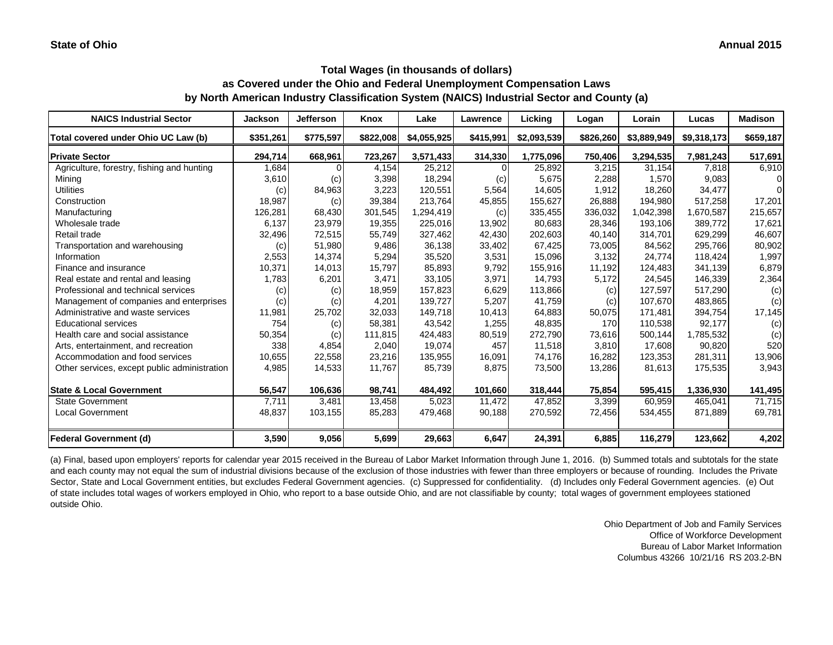| <b>NAICS Industrial Sector</b>               | <b>Jackson</b> | <b>Jefferson</b> | Knox      | Lake        | Lawrence  | Licking     | Logan     | Lorain      | Lucas       | <b>Madison</b> |
|----------------------------------------------|----------------|------------------|-----------|-------------|-----------|-------------|-----------|-------------|-------------|----------------|
| Total covered under Ohio UC Law (b)          | \$351,261      | \$775,597        | \$822,008 | \$4,055,925 | \$415,991 | \$2,093,539 | \$826,260 | \$3,889,949 | \$9,318,173 | \$659,187      |
| <b>Private Sector</b>                        | 294,714        | 668,961          | 723,267   | 3,571,433   | 314,330   | 1,775,096   | 750,406   | 3,294,535   | 7,981,243   | 517,691        |
| Agriculture, forestry, fishing and hunting   | 1,684          |                  | 4,154     | 25,212      | $\Omega$  | 25,892      | 3,215     | 31,154      | 7.818       | 6,910          |
| Mining                                       | 3,610          | (c)              | 3,398     | 18,294      | (c)       | 5,675       | 2,288     | 1,570       | 9,083       | 01             |
| <b>Utilities</b>                             | (c)            | 84,963           | 3,223     | 120,551     | 5,564     | 14,605      | 1,912     | 18,260      | 34,477      | $\Omega$       |
| Construction                                 | 18,987         | (c)              | 39,384    | 213,764     | 45,855    | 155,627     | 26,888    | 194,980     | 517,258     | 17,201         |
| Manufacturing                                | 126,281        | 68,430           | 301,545   | 1,294,419   | (c)       | 335,455     | 336,032   | 1,042,398   | 1,670,587   | 215,657        |
| Wholesale trade                              | 6,137          | 23,979           | 19,355    | 225,016     | 13,902    | 80,683      | 28,346    | 193,106     | 389,772     | 17,621         |
| Retail trade                                 | 32,496         | 72,515           | 55,749    | 327,462     | 42,430    | 202,603     | 40,140    | 314,701     | 629,299     | 46,607         |
| Transportation and warehousing               | (c)            | 51,980           | 9,486     | 36,138      | 33,402    | 67,425      | 73,005    | 84,562      | 295,766     | 80,902         |
| Information                                  | 2,553          | 14,374           | 5,294     | 35,520      | 3,531     | 15,096      | 3,132     | 24,774      | 118.424     | 1,997          |
| Finance and insurance                        | 10,371         | 14,013           | 15,797    | 85,893      | 9,792     | 155,916     | 11,192    | 124,483     | 341,139     | 6,879          |
| Real estate and rental and leasing           | 1,783          | 6,201            | 3.471     | 33,105      | 3,971     | 14,793      | 5,172     | 24,545      | 146,339     | 2,364          |
| Professional and technical services          | (c)            | (c)              | 18,959    | 157,823     | 6,629     | 113,866     | (c)       | 127,597     | 517,290     | (c)            |
| Management of companies and enterprises      | (c)            | (c)              | 4,201     | 139,727     | 5,207     | 41,759      | (c)       | 107,670     | 483,865     | (c)            |
| Administrative and waste services            | 11,981         | 25,702           | 32,033    | 149.718     | 10,413    | 64,883      | 50,075    | 171,481     | 394,754     | 17,145         |
| <b>Educational services</b>                  | 754            | (c)              | 58,381    | 43,542      | 1,255     | 48,835      | 170       | 110,538     | 92,177      | (c)            |
| Health care and social assistance            | 50,354         | (c)              | 111,815   | 424,483     | 80,519    | 272,790     | 73,616    | 500,144     | 1,785,532   | (c)            |
| Arts, entertainment, and recreation          | 338            | 4,854            | 2,040     | 19,074      | 457       | 11,518      | 3,810     | 17,608      | 90,820      | 520            |
| Accommodation and food services              | 10,655         | 22,558           | 23,216    | 135,955     | 16,091    | 74,176      | 16,282    | 123,353     | 281,311     | 13,906         |
| Other services, except public administration | 4,985          | 14,533           | 11,767    | 85,739      | 8,875     | 73,500      | 13,286    | 81,613      | 175,535     | 3,943          |
| <b>State &amp; Local Government</b>          | 56,547         | 106,636          | 98,741    | 484,492     | 101,660   | 318,444     | 75,854    | 595,415     | 1,336,930   | 141,495        |
| <b>State Government</b>                      | 7,711          | 3,481            | 13,458    | 5,023       | 11,472    | 47,852      | 3,399     | 60,959      | 465,041     | 71,715         |
| <b>Local Government</b>                      | 48,837         | 103,155          | 85,283    | 479,468     | 90,188    | 270,592     | 72,456    | 534,455     | 871,889     | 69,781         |
| <b>Federal Government (d)</b>                | 3,590          | 9,056            | 5,699     | 29,663      | 6,647     | 24,391      | 6,885     | 116,279     | 123,662     | 4,202          |

(a) Final, based upon employers' reports for calendar year 2015 received in the Bureau of Labor Market Information through June 1, 2016. (b) Summed totals and subtotals for the state and each county may not equal the sum of industrial divisions because of the exclusion of those industries with fewer than three employers or because of rounding. Includes the Private Sector, State and Local Government entities, but excludes Federal Government agencies. (c) Suppressed for confidentiality. (d) Includes only Federal Government agencies. (e) Out of state includes total wages of workers employed in Ohio, who report to a base outside Ohio, and are not classifiable by county; total wages of government employees stationed outside Ohio.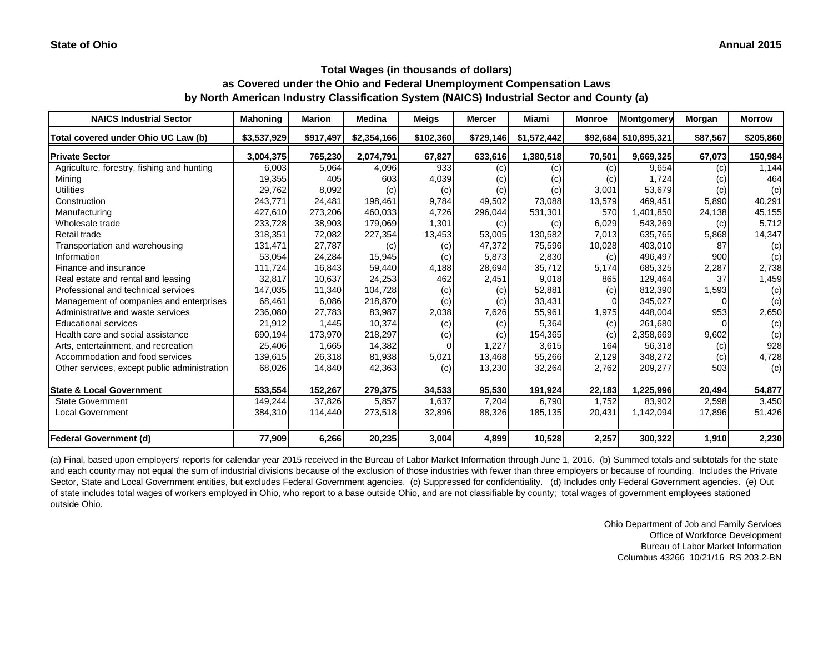| <b>NAICS Industrial Sector</b>               | <b>Mahoning</b> | Marion    | <b>Medina</b> | <b>Meigs</b> | <b>Mercer</b> | Miami       | <b>Monroe</b> | Montgomery            | Morgan   | <b>Morrow</b> |
|----------------------------------------------|-----------------|-----------|---------------|--------------|---------------|-------------|---------------|-----------------------|----------|---------------|
| Total covered under Ohio UC Law (b)          | \$3,537,929     | \$917,497 | \$2,354,166   | \$102,360    | \$729,146     | \$1,572,442 |               | \$92,684 \$10,895,321 | \$87,567 | \$205,860     |
| <b>Private Sector</b>                        | 3,004,375       | 765,230   | 2,074,791     | 67,827       | 633,616       | 1,380,518   | 70,501        | 9,669,325             | 67,073   | 150,984       |
| Agriculture, forestry, fishing and hunting   | 6,003           | 5,064     | 4,096         | 933          | (c)           | (c)         | (c)           | 9,654                 | (c)      | 1,144         |
| Mining                                       | 19,355          | 405       | 603           | 4,039        | (c)           | (c)         | (c)           | 1,724                 | (c)      | 464           |
| <b>Utilities</b>                             | 29,762          | 8,092     | (c)           | (c)          | (c)           | (c)         | 3,001         | 53,679                | (c)      | (c)           |
| Construction                                 | 243,771         | 24,481    | 198,461       | 9,784        | 49,502        | 73,088      | 13,579        | 469,451               | 5,890    | 40,291        |
| Manufacturing                                | 427,610         | 273,206   | 460.033       | 4,726        | 296,044       | 531,301     | 570           | 1,401,850             | 24,138   | 45,155        |
| Wholesale trade                              | 233,728         | 38,903    | 179,069       | 1,301        | (c)           | (c)         | 6,029         | 543,269               | (c)      | 5,712         |
| Retail trade                                 | 318,351         | 72,082    | 227,354       | 13,453       | 53,005        | 130,582     | 7,013         | 635,765               | 5,868    | 14,347        |
| Transportation and warehousing               | 131,471         | 27,787    | (c)           | (c)          | 47,372        | 75,596      | 10,028        | 403.010               | 87       | (c)           |
| Information                                  | 53,054          | 24,284    | 15,945        | (c)          | 5,873         | 2,830       | (c)           | 496,497               | 900      | (c)           |
| Finance and insurance                        | 111,724         | 16,843    | 59,440        | 4,188        | 28,694        | 35,712      | 5,174         | 685,325               | 2,287    | 2,738         |
| Real estate and rental and leasing           | 32,817          | 10,637    | 24,253        | 462          | 2,451         | 9,018       | 865           | 129,464               | 37       | 1,459         |
| Professional and technical services          | 147,035         | 11,340    | 104,728       | (c)          | (c)           | 52,881      | (c)           | 812,390               | 1,593    | (c)           |
| Management of companies and enterprises      | 68,461          | 6,086     | 218,870       | (c)          | (c)           | 33,431      |               | 345,027               |          | (c)           |
| Administrative and waste services            | 236,080         | 27,783    | 83,987        | 2,038        | 7,626         | 55,961      | 1,975         | 448,004               | 953      | 2,650         |
| <b>Educational services</b>                  | 21,912          | 1,445     | 10,374        | (c)          | (c)           | 5,364       | (c)           | 261,680               |          | (c)           |
| Health care and social assistance            | 690,194         | 173,970   | 218,297       | (c)          | (c)           | 154,365     | (c)           | 2,358,669             | 9,602    | (c)           |
| Arts, entertainment, and recreation          | 25,406          | 1,665     | 14,382        |              | 1,227         | 3,615       | 164           | 56,318                | (c)      | 928           |
| Accommodation and food services              | 139,615         | 26,318    | 81,938        | 5,021        | 13,468        | 55,266      | 2,129         | 348,272               | (c)      | 4,728         |
| Other services, except public administration | 68,026          | 14,840    | 42,363        | (c)          | 13,230        | 32,264      | 2,762         | 209,277               | 503      | (c)           |
| <b>State &amp; Local Government</b>          | 533,554         | 152,267   | 279,375       | 34,533       | 95,530        | 191,924     | 22,183        | 1,225,996             | 20,494   | 54,877        |
| <b>State Government</b>                      | 149,244         | 37,826    | 5,857         | 1,637        | 7,204         | 6,790       | 1,752         | 83,902                | 2,598    | 3,450         |
| <b>Local Government</b>                      | 384,310         | 114,440   | 273,518       | 32,896       | 88,326        | 185,135     | 20,431        | 1,142,094             | 17,896   | 51,426        |
| <b>Federal Government (d)</b>                | 77,909          | 6,266     | 20,235        | 3,004        | 4,899         | 10,528      | 2,257         | 300,322               | 1,910    | 2,230         |

(a) Final, based upon employers' reports for calendar year 2015 received in the Bureau of Labor Market Information through June 1, 2016. (b) Summed totals and subtotals for the state and each county may not equal the sum of industrial divisions because of the exclusion of those industries with fewer than three employers or because of rounding. Includes the Private Sector, State and Local Government entities, but excludes Federal Government agencies. (c) Suppressed for confidentiality. (d) Includes only Federal Government agencies. (e) Out of state includes total wages of workers employed in Ohio, who report to a base outside Ohio, and are not classifiable by county; total wages of government employees stationed outside Ohio.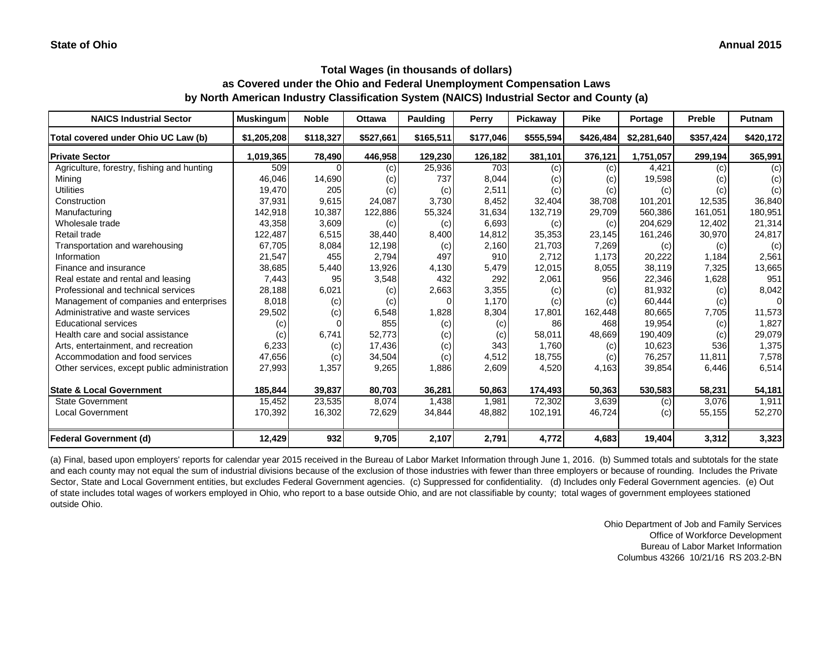| <b>NAICS Industrial Sector</b>               | <b>Muskingum</b> | <b>Noble</b> | <b>Ottawa</b> | <b>Paulding</b> | Perry     | Pickaway  | <b>Pike</b> | Portage     | <b>Preble</b> | Putnam    |
|----------------------------------------------|------------------|--------------|---------------|-----------------|-----------|-----------|-------------|-------------|---------------|-----------|
| Total covered under Ohio UC Law (b)          | \$1,205,208      | \$118,327    | \$527,661     | \$165,511       | \$177,046 | \$555,594 | \$426,484   | \$2,281,640 | \$357,424     | \$420,172 |
| <b>Private Sector</b>                        | 1,019,365        | 78,490       | 446,958       | 129,230         | 126,182   | 381,101   | 376,121     | 1,751,057   | 299,194       | 365,991   |
| Agriculture, forestry, fishing and hunting   | 509              |              | (c)           | 25,936          | 703       | (c)       | (c)         | 4,421       | (c)           | (c)       |
| Mining                                       | 46,046           | 14,690       | (c)           | 737             | 8,044     | (c)       | (c)         | 19,598      | (c)           | (c)       |
| <b>Utilities</b>                             | 19,470           | 205          | (c)           | (c)             | 2,511     | (c)       | (c)         | (c)         | (c)           | (c)       |
| Construction                                 | 37,931           | 9,615        | 24.087        | 3,730           | 8,452     | 32,404    | 38,708      | 101.201     | 12,535        | 36,840    |
| Manufacturing                                | 142,918          | 10,387       | 122,886       | 55,324          | 31,634    | 132,719   | 29,709      | 560.386     | 161,051       | 180,951   |
| Wholesale trade                              | 43,358           | 3,609        | (c)           | (c)             | 6,693     | (c)       | (c)         | 204,629     | 12,402        | 21,314    |
| Retail trade                                 | 122,487          | 6,515        | 38,440        | 8,400           | 14,812    | 35,353    | 23,145      | 161,246     | 30,970        | 24,817    |
| Transportation and warehousing               | 67,705           | 8,084        | 12,198        | (c)             | 2,160     | 21,703    | 7,269       | (c)         | (c)           | (c)       |
| Information                                  | 21,547           | 455          | 2,794         | 497             | 910       | 2,712     | 1,173       | 20,222      | 1,184         | 2,561     |
| Finance and insurance                        | 38,685           | 5,440        | 13,926        | 4,130           | 5,479     | 12,015    | 8,055       | 38,119      | 7,325         | 13,665    |
| Real estate and rental and leasing           | 7,443            | 95           | 3,548         | 432             | 292       | 2,061     | 956         | 22,346      | 1,628         | 951       |
| Professional and technical services          | 28,188           | 6,021        | (c)           | 2,663           | 3,355     | (c)       | (c)         | 81,932      | (c)           | 8,042     |
| Management of companies and enterprises      | 8,018            | (c)          | (c)           |                 | 1.170     | (c)       | (c)         | 60,444      | (c)           | ΩI        |
| Administrative and waste services            | 29,502           | (c)          | 6,548         | 1,828           | 8,304     | 17,801    | 162,448     | 80,665      | 7,705         | 11,573    |
| <b>Educational services</b>                  | (c)              |              | 855           | (c)             | (c)       | 86        | 468         | 19,954      | (c)           | 1,827     |
| Health care and social assistance            | (c)              | 6,741        | 52,773        | (c)             | (c)       | 58,011    | 48,669      | 190,409     | (c)           | 29,079    |
| Arts, entertainment, and recreation          | 6,233            | (c)          | 17,436        | (c)             | 343       | 1,760     | (c)         | 10,623      | 536           | 1,375     |
| Accommodation and food services              | 47,656           | (c)          | 34,504        | (c)             | 4,512     | 18,755    | (c)         | 76,257      | 11,811        | 7,578     |
| Other services, except public administration | 27,993           | 1,357        | 9,265         | 1,886           | 2,609     | 4,520     | 4,163       | 39,854      | 6,446         | 6,514     |
| <b>State &amp; Local Government</b>          | 185,844          | 39,837       | 80,703        | 36,281          | 50,863    | 174,493   | 50,363      | 530,583     | 58,231        | 54,181    |
| <b>State Government</b>                      | 15,452           | 23,535       | 8,074         | 1,438           | 1,981     | 72,302    | 3,639       | (c)         | 3,076         | 1,911     |
| <b>Local Government</b>                      | 170,392          | 16,302       | 72,629        | 34,844          | 48,882    | 102,191   | 46,724      | (c)         | 55,155        | 52,270    |
| <b>Federal Government (d)</b>                | 12,429           | 932          | 9,705         | 2,107           | 2,791     | 4,772     | 4,683       | 19,404      | 3,312         | 3,323     |

(a) Final, based upon employers' reports for calendar year 2015 received in the Bureau of Labor Market Information through June 1, 2016. (b) Summed totals and subtotals for the state and each county may not equal the sum of industrial divisions because of the exclusion of those industries with fewer than three employers or because of rounding. Includes the Private Sector, State and Local Government entities, but excludes Federal Government agencies. (c) Suppressed for confidentiality. (d) Includes only Federal Government agencies. (e) Out of state includes total wages of workers employed in Ohio, who report to a base outside Ohio, and are not classifiable by county; total wages of government employees stationed outside Ohio.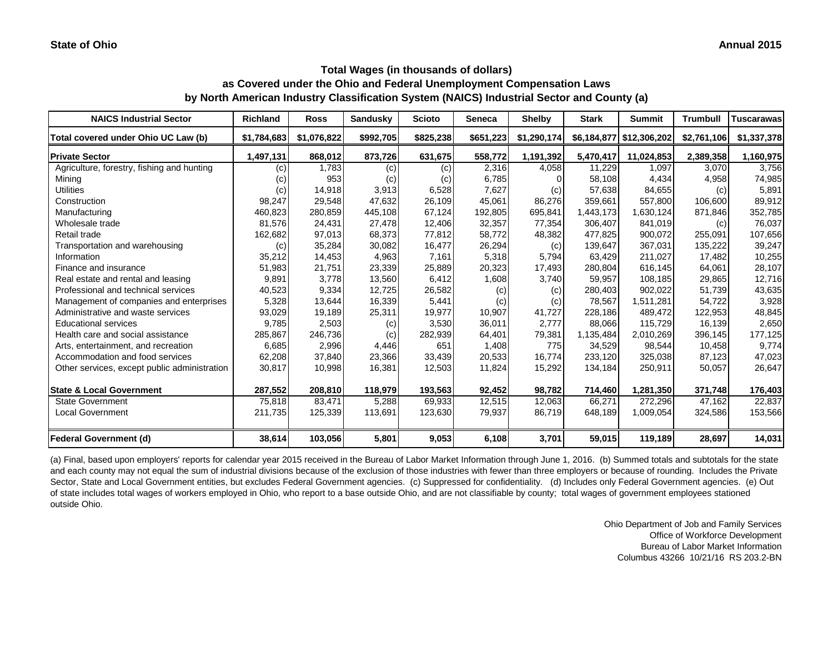| <b>NAICS Industrial Sector</b>               | <b>Richland</b> | <b>Ross</b> | <b>Sandusky</b> | <b>Scioto</b> | <b>Seneca</b> | <b>Shelby</b> | <b>Stark</b> | <b>Summit</b>            | <b>Trumbull</b> | Tuscarawas  |
|----------------------------------------------|-----------------|-------------|-----------------|---------------|---------------|---------------|--------------|--------------------------|-----------------|-------------|
| Total covered under Ohio UC Law (b)          | \$1,784,683     | \$1,076,822 | \$992,705       | \$825,238     | \$651,223     | \$1,290,174   |              | \$6,184,877 \$12,306,202 | \$2,761,106     | \$1,337,378 |
| <b>Private Sector</b>                        | 1,497,131       | 868,012     | 873,726         | 631,675       | 558,772       | 1,191,392     | 5,470,417    | 11,024,853               | 2,389,358       | 1,160,975   |
| Agriculture, forestry, fishing and hunting   | (c)             | 1,783       | (c)             | (c)           | 2,316         | 4,058         | 11,229       | 1,097                    | 3,070           | 3,756       |
| Mining                                       | (c)             | 953         | (c)             | (c)           | 6,785         |               | 58,108       | 4,434                    | 4,958           | 74,985      |
| <b>Utilities</b>                             | (c)             | 14,918      | 3,913           | 6,528         | 7,627         | (c)           | 57,638       | 84,655                   | (c)             | 5,891       |
| Construction                                 | 98,247          | 29,548      | 47,632          | 26,109        | 45,061        | 86,276        | 359,661      | 557,800                  | 106,600         | 89,912      |
| Manufacturing                                | 460,823         | 280,859     | 445.108         | 67,124        | 192,805       | 695,841       | 1,443,173    | 1,630,124                | 871,846         | 352,785     |
| Wholesale trade                              | 81,576          | 24,431      | 27,478          | 12,406        | 32,357        | 77,354        | 306,407      | 841,019                  | (c)             | 76,037      |
| Retail trade                                 | 162,682         | 97,013      | 68,373          | 77,812        | 58,772        | 48,382        | 477,825      | 900,072                  | 255,091         | 107,656     |
| Transportation and warehousing               | (c)             | 35,284      | 30,082          | 16,477        | 26,294        | (c)           | 139,647      | 367.031                  | 135,222         | 39,247      |
| Information                                  | 35,212          | 14,453      | 4,963           | 7,161         | 5,318         | 5,794         | 63,429       | 211.027                  | 17,482          | 10,255      |
| Finance and insurance                        | 51,983          | 21,751      | 23,339          | 25,889        | 20,323        | 17,493        | 280,804      | 616,145                  | 64,061          | 28,107      |
| Real estate and rental and leasing           | 9,891           | 3,778       | 13,560          | 6,412         | 1,608         | 3,740         | 59,957       | 108,185                  | 29,865          | 12,716      |
| Professional and technical services          | 40,523          | 9,334       | 12,725          | 26,582        | (c)           | (c)           | 280,403      | 902,022                  | 51,739          | 43,635      |
| Management of companies and enterprises      | 5,328           | 13,644      | 16,339          | 5,441         | (c)           | (c)           | 78,567       | 1.511.281                | 54,722          | 3,928       |
| Administrative and waste services            | 93,029          | 19,189      | 25,311          | 19,977        | 10,907        | 41,727        | 228,186      | 489,472                  | 122,953         | 48,845      |
| <b>Educational services</b>                  | 9,785           | 2,503       | (c)             | 3,530         | 36,011        | 2,777         | 88,066       | 115,729                  | 16,139          | 2,650       |
| Health care and social assistance            | 285,867         | 246,736     | (c)             | 282,939       | 64,401        | 79,381        | 1,135,484    | 2,010,269                | 396,145         | 177,125     |
| Arts, entertainment, and recreation          | 6,685           | 2,996       | 4,446           | 651           | 1,408         | 775           | 34,529       | 98,544                   | 10,458          | 9,774       |
| Accommodation and food services              | 62,208          | 37,840      | 23,366          | 33,439        | 20,533        | 16,774        | 233,120      | 325,038                  | 87,123          | 47,023      |
| Other services, except public administration | 30,817          | 10,998      | 16,381          | 12,503        | 11,824        | 15,292        | 134,184      | 250,911                  | 50,057          | 26,647      |
| <b>State &amp; Local Government</b>          | 287,552         | 208,810     | 118,979         | 193,563       | 92,452        | 98,782        | 714,460      | 1,281,350                | 371,748         | 176,403     |
| <b>State Government</b>                      | 75,818          | 83,471      | 5,288           | 69,933        | 12,515        | 12,063        | 66,271       | 272,296                  | 47,162          | 22,837      |
| <b>Local Government</b>                      | 211,735         | 125,339     | 113,691         | 123,630       | 79,937        | 86,719        | 648,189      | 1,009,054                | 324,586         | 153,566     |
| <b>Federal Government (d)</b>                | 38,614          | 103,056     | 5,801           | 9,053         | 6,108         | 3,701         | 59,015       | 119,189                  | 28,697          | 14,031      |

(a) Final, based upon employers' reports for calendar year 2015 received in the Bureau of Labor Market Information through June 1, 2016. (b) Summed totals and subtotals for the state and each county may not equal the sum of industrial divisions because of the exclusion of those industries with fewer than three employers or because of rounding. Includes the Private Sector, State and Local Government entities, but excludes Federal Government agencies. (c) Suppressed for confidentiality. (d) Includes only Federal Government agencies. (e) Out of state includes total wages of workers employed in Ohio, who report to a base outside Ohio, and are not classifiable by county; total wages of government employees stationed outside Ohio.